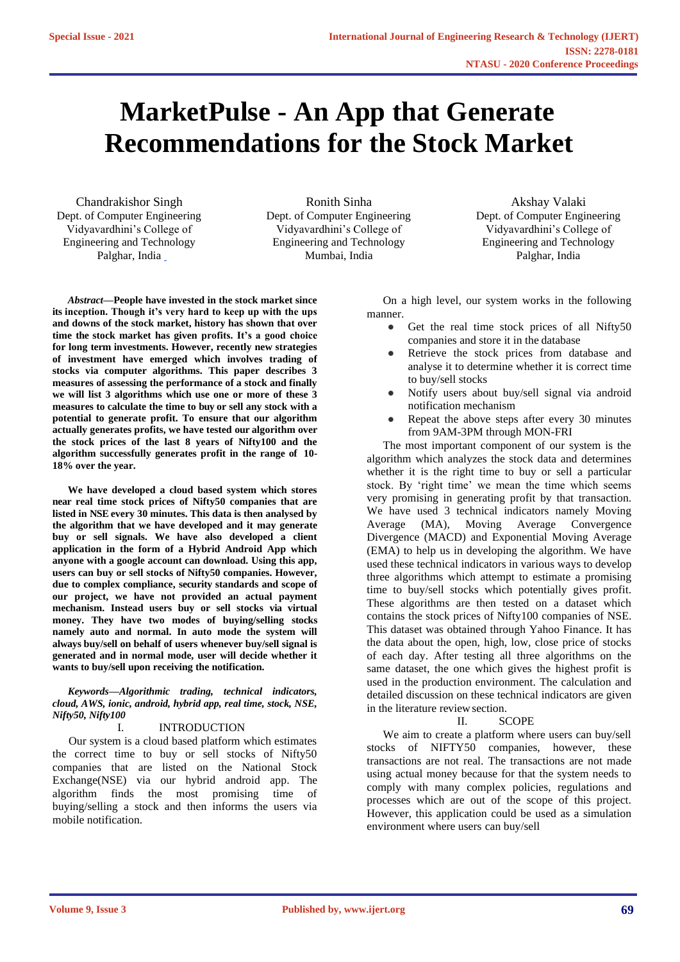# **MarketPulse - An App that Generate Recommendations for the Stock Market**

Chandrakishor Singh Dept. of Computer Engineering Vidyavardhini's College of Engineering and Technology Palghar, India

Ronith Sinha Dept. of Computer Engineering Vidyavardhini's College of Engineering and Technology Mumbai, India

Akshay Valaki Dept. of Computer Engineering Vidyavardhini's College of Engineering and Technology Palghar, India

*Abstract***—People have invested in the stock market since its inception. Though it's very hard to keep up with the ups and downs of the stock market, history has shown that over time the stock market has given profits. It's a good choice for long term investments. However, recently new strategies of investment have emerged which involves trading of stocks via computer algorithms. This paper describes 3 measures of assessing the performance of a stock and finally we will list 3 algorithms which use one or more of these 3 measures to calculate the time to buy or sell any stock with a potential to generate profit. To ensure that our algorithm actually generates profits, we have tested our algorithm over the stock prices of the last 8 years of Nifty100 and the algorithm successfully generates profit in the range of 10- 18% over the year.**

**We have developed a cloud based system which stores near real time stock prices of Nifty50 companies that are listed in NSE every 30 minutes. This data is then analysed by the algorithm that we have developed and it may generate buy or sell signals. We have also developed a client application in the form of a Hybrid Android App which anyone with a google account can download. Using this app, users can buy or sell stocks of Nifty50 companies. However, due to complex compliance, security standards and scope of our project, we have not provided an actual payment mechanism. Instead users buy or sell stocks via virtual money. They have two modes of buying/selling stocks namely auto and normal. In auto mode the system will always buy/sell on behalf of users whenever buy/sell signal is generated and in normal mode, user will decide whether it wants to buy/sell upon receiving the notification.**

*Keywords—Algorithmic trading, technical indicators, cloud, AWS, ionic, android, hybrid app, real time, stock, NSE, Nifty50, Nifty100*

### I. INTRODUCTION

Our system is a cloud based platform which estimates the correct time to buy or sell stocks of Nifty50 companies that are listed on the National Stock Exchange(NSE) via our hybrid android app. The algorithm finds the most promising time of buying/selling a stock and then informs the users via mobile notification.

On a high level, our system works in the following manner.

- Get the real time stock prices of all Nifty50 companies and store it in the database
- Retrieve the stock prices from database and analyse it to determine whether it is correct time to buy/sell stocks
- Notify users about buy/sell signal via android notification mechanism
- Repeat the above steps after every 30 minutes from 9AM-3PM through MON-FRI

The most important component of our system is the algorithm which analyzes the stock data and determines whether it is the right time to buy or sell a particular stock. By 'right time' we mean the time which seems very promising in generating profit by that transaction. We have used 3 technical indicators namely Moving Average (MA), Moving Average Convergence Divergence (MACD) and Exponential Moving Average (EMA) to help us in developing the algorithm. We have used these technical indicators in various ways to develop three algorithms which attempt to estimate a promising time to buy/sell stocks which potentially gives profit. These algorithms are then tested on a dataset which contains the stock prices of Nifty100 companies of NSE. This dataset was obtained through Yahoo Finance. It has the data about the open, high, low, close price of stocks of each day. After testing all three algorithms on the same dataset, the one which gives the highest profit is used in the production environment. The calculation and detailed discussion on these technical indicators are given in the literature reviewsection.

## II. SCOPE

We aim to create a platform where users can buy/sell stocks of NIFTY50 companies, however, these transactions are not real. The transactions are not made using actual money because for that the system needs to comply with many complex policies, regulations and processes which are out of the scope of this project. However, this application could be used as a simulation environment where users can buy/sell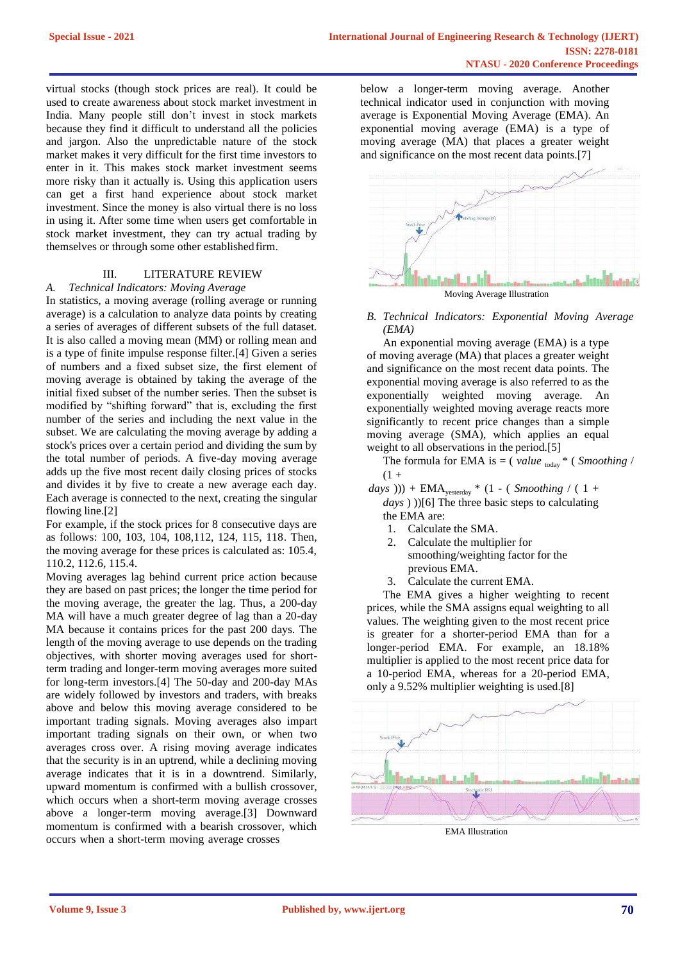virtual stocks (though stock prices are real). It could be used to create awareness about stock market investment in India. Many people still don't invest in stock markets because they find it difficult to understand all the policies and jargon. Also the unpredictable nature of the stock market makes it very difficult for the first time investors to enter in it. This makes stock market investment seems more risky than it actually is. Using this application users can get a first hand experience about stock market investment. Since the money is also virtual there is no loss in using it. After some time when users get comfortable in stock market investment, they can try actual trading by themselves or through some other establishedfirm.

## III. LITERATURE REVIEW

#### *A. Technical Indicators: Moving Average*

In statistics, a moving average (rolling average or running average) is a calculation to analyze data points by creating a series of averages of different subsets of the full dataset. It is also called a moving mean (MM) or rolling mean and is a type of finite impulse response filter.[4] Given a series of numbers and a fixed subset size, the first element of moving average is obtained by taking the average of the initial fixed subset of the number series. Then the subset is modified by "shifting forward" that is, excluding the first number of the series and including the next value in the subset. We are calculating the moving average by adding a stock's prices over a certain period and dividing the sum by the total number of periods. A five-day moving average adds up the five most recent daily closing prices of stocks and divides it by five to create a new average each day. Each average is connected to the next, creating the singular flowing line.[2]

For example, if the stock prices for 8 consecutive days are as follows: 100, 103, 104, 108,112, 124, 115, 118. Then, the moving average for these prices is calculated as: 105.4, 110.2, 112.6, 115.4.

Moving averages lag behind current price action because they are based on past prices; the longer the time period for the moving average, the greater the lag. Thus, a 200-day MA will have a much greater degree of lag than a 20-day MA because it contains prices for the past 200 days. The length of the moving average to use depends on the trading objectives, with shorter moving averages used for shortterm trading and longer-term moving averages more suited for long-term investors.[4] The 50-day and 200-day MAs are widely followed by investors and traders, with breaks above and below this moving average considered to be important trading signals. Moving averages also impart important trading signals on their own, or when two averages cross over. A rising moving average indicates that the security is in an uptrend, while a declining moving average indicates that it is in a downtrend. Similarly, upward momentum is confirmed with a bullish crossover, which occurs when a short-term moving average crosses above a longer-term moving average.[3] Downward momentum is confirmed with a bearish crossover, which occurs when a short-term moving average crosses

below a longer-term moving average. Another technical indicator used in conjunction with moving average is Exponential Moving Average (EMA). An exponential moving average (EMA) is a type of moving average (MA) that places a greater weight and significance on the most recent data points.[7]



Moving Average Illustration

## *B. Technical Indicators: Exponential Moving Average (EMA)*

An exponential moving average (EMA) is a type of moving average (MA) that places a greater weight and significance on the most recent data points. The exponential moving average is also referred to as the exponentially weighted moving average. An exponentially weighted moving average reacts more significantly to recent price changes than a simple moving average (SMA), which applies an equal weight to all observations in the period.[5]

The formula for EMA is  $=$  (*value* <sub>today</sub>  $*$  (*Smoothing* /  $(1 +$ 

- $days$  ))) +  $EMA_{\text{vesterday}} * (1 (Smoothing / (1 +$ *days* ) ))[6] The three basic steps to calculating the EMA are:
	- 1. Calculate the SMA.
	- 2. Calculate the multiplier for smoothing/weighting factor for the previous EMA.
	- 3. Calculate the current EMA.

The EMA gives a higher weighting to recent prices, while the SMA assigns equal weighting to all values. The weighting given to the most recent price is greater for a shorter-period EMA than for a longer-period EMA. For example, an 18.18% multiplier is applied to the most recent price data for a 10-period EMA, whereas for a 20-period EMA, only a 9.52% multiplier weighting is used.[8]



EMA Illustration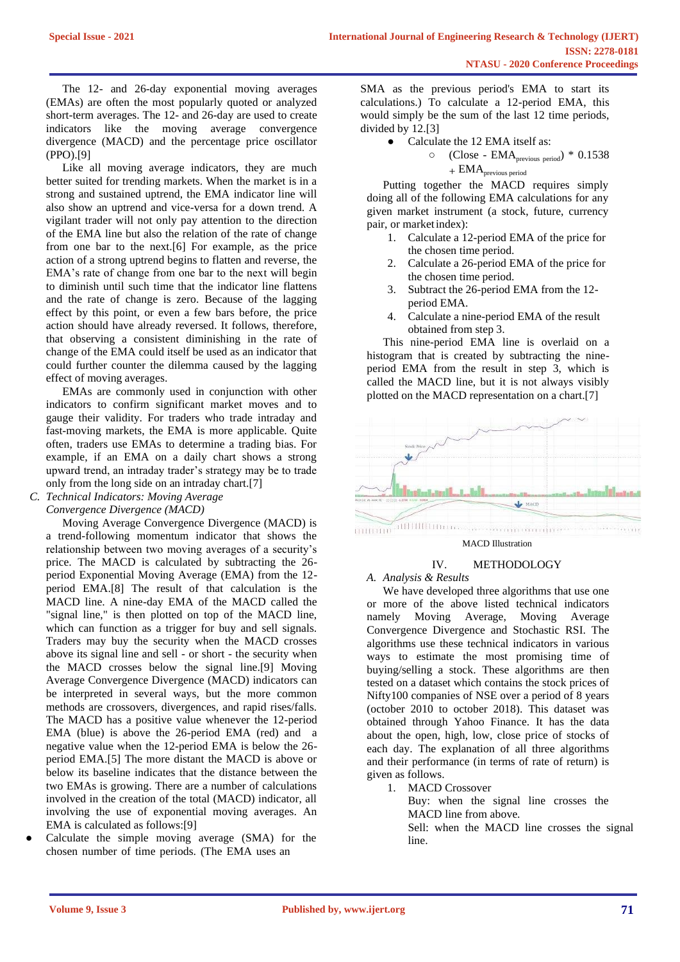The 12- and 26-day exponential moving averages (EMAs) are often the most popularly quoted or analyzed short-term averages. The 12- and 26-day are used to create indicators like the moving average convergence divergence (MACD) and the percentage price oscillator (PPO).[9]

Like all moving average indicators, they are much better suited for trending markets. When the market is in a strong and sustained uptrend, the EMA indicator line will also show an uptrend and vice-versa for a down trend. A vigilant trader will not only pay attention to the direction of the EMA line but also the relation of the rate of change from one bar to the next.[6] For example, as the price action of a strong uptrend begins to flatten and reverse, the EMA's rate of change from one bar to the next will begin to diminish until such time that the indicator line flattens and the rate of change is zero. Because of the lagging effect by this point, or even a few bars before, the price action should have already reversed. It follows, therefore, that observing a consistent diminishing in the rate of change of the EMA could itself be used as an indicator that could further counter the dilemma caused by the lagging effect of moving averages.

EMAs are commonly used in conjunction with other indicators to confirm significant market moves and to gauge their validity. For traders who trade intraday and fast-moving markets, the EMA is more applicable. Quite often, traders use EMAs to determine a trading bias. For example, if an EMA on a daily chart shows a strong upward trend, an intraday trader's strategy may be to trade only from the long side on an intraday chart.[7]

*C. Technical Indicators: Moving Average* 

*Convergence Divergence (MACD)*

Moving Average Convergence Divergence (MACD) is a trend-following momentum indicator that shows the relationship between two moving averages of a security's price. The MACD is calculated by subtracting the 26 period Exponential Moving Average (EMA) from the 12 period EMA.[8] The result of that calculation is the MACD line. A nine-day EMA of the MACD called the "signal line," is then plotted on top of the MACD line, which can function as a trigger for buy and sell signals. Traders may buy the security when the MACD crosses above its signal line and sell - or short - the security when the MACD crosses below the signal line.[9] Moving Average Convergence Divergence (MACD) indicators can be interpreted in several ways, but the more common methods are crossovers, divergences, and rapid rises/falls. The MACD has a positive value whenever the 12-period EMA (blue) is above the 26-period EMA (red) and a negative value when the 12-period EMA is below the 26 period EMA.[5] The more distant the MACD is above or below its baseline indicates that the distance between the two EMAs is growing. There are a number of calculations involved in the creation of the total (MACD) indicator, all involving the use of exponential moving averages. An EMA is calculated as follows:[9]

Calculate the simple moving average (SMA) for the chosen number of time periods. (The EMA uses an

SMA as the previous period's EMA to start its calculations.) To calculate a 12-period EMA, this would simply be the sum of the last 12 time periods, divided by 12.[3]

• Calculate the 12 EMA itself as:

○ (Close - EMAprevious period) \* 0.1538  $+ EMA<sub>previous period</sub>$ 

Putting together the MACD requires simply doing all of the following EMA calculations for any given market instrument (a stock, future, currency pair, or marketindex):

- 1. Calculate a 12-period EMA of the price for the chosen time period.
- 2. Calculate a 26-period EMA of the price for the chosen time period.
- 3. Subtract the 26-period EMA from the 12 period EMA.
- 4. Calculate a nine-period EMA of the result obtained from step 3.

This nine-period EMA line is overlaid on a histogram that is created by subtracting the nineperiod EMA from the result in step 3, which is called the MACD line, but it is not always visibly plotted on the MACD representation on a chart.[7]



#### MACD Illustration

# IV. METHODOLOGY

# *A. Analysis & Results*

We have developed three algorithms that use one or more of the above listed technical indicators namely Moving Average, Moving Average Convergence Divergence and Stochastic RSI. The algorithms use these technical indicators in various ways to estimate the most promising time of buying/selling a stock. These algorithms are then tested on a dataset which contains the stock prices of Nifty100 companies of NSE over a period of 8 years (october 2010 to october 2018). This dataset was obtained through Yahoo Finance. It has the data about the open, high, low, close price of stocks of each day. The explanation of all three algorithms and their performance (in terms of rate of return) is given as follows.

1. MACD Crossover

Buy: when the signal line crosses the MACD line from above.

Sell: when the MACD line crosses the signal line.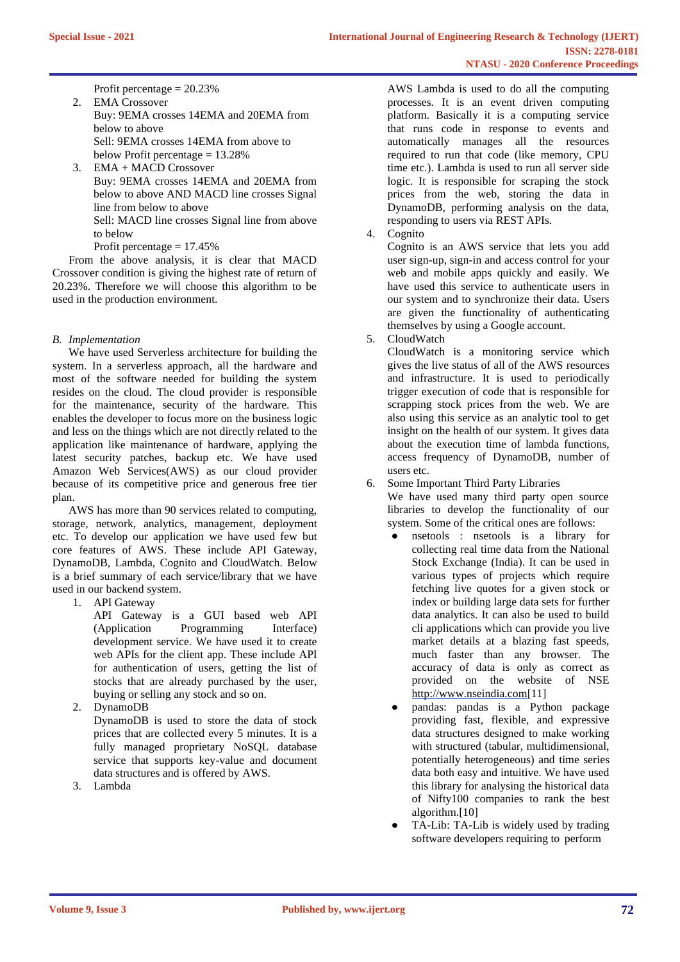Profit percentage  $= 20.23\%$ 

- 2. EMA Crossover Buy: 9EMA crosses 14EMA and 20EMA from below to above Sell: 9EMA crosses 14EMA from above to below Profit percentage = 13.28%
- 3. EMA + MACD Crossover Buy: 9EMA crosses 14EMA and 20EMA from below to above AND MACD line crosses Signal line from below to above

Sell: MACD line crosses Signal line from above to below

Profit percentage  $= 17.45\%$ 

From the above analysis, it is clear that MACD Crossover condition is giving the highest rate of return of 20.23%. Therefore we will choose this algorithm to be used in the production environment.

# *B. Implementation*

We have used Serverless architecture for building the system. In a serverless approach, all the hardware and most of the software needed for building the system resides on the cloud. The cloud provider is responsible for the maintenance, security of the hardware. This enables the developer to focus more on the business logic and less on the things which are not directly related to the application like maintenance of hardware, applying the latest security patches, backup etc. We have used Amazon Web Services(AWS) as our cloud provider because of its competitive price and generous free tier plan.

AWS has more than 90 services related to computing, storage, network, analytics, management, deployment etc. To develop our application we have used few but core features of AWS. These include API Gateway, DynamoDB, Lambda, Cognito and CloudWatch. Below is a brief summary of each service/library that we have used in our backend system.

1. API Gateway

API Gateway is a GUI based web API (Application Programming Interface) development service. We have used it to create web APIs for the client app. These include API for authentication of users, getting the list of stocks that are already purchased by the user, buying or selling any stock and so on.

2. DynamoDB

DynamoDB is used to store the data of stock prices that are collected every 5 minutes. It is a fully managed proprietary NoSQL database service that supports key-value and document data structures and is offered by AWS.

3. Lambda

AWS Lambda is used to do all the computing processes. It is an event driven computing platform. Basically it is a computing service that runs code in response to events and automatically manages all the resources required to run that code (like memory, CPU time etc.). Lambda is used to run all server side logic. It is responsible for scraping the stock prices from the web, storing the data in DynamoDB, performing analysis on the data, responding to users via REST APIs.

4. Cognito

Cognito is an AWS service that lets you add user sign-up, sign-in and access control for your web and mobile apps quickly and easily. We have used this service to authenticate users in our system and to synchronize their data. Users are given the functionality of authenticating themselves by using a Google account.

5. CloudWatch

CloudWatch is a monitoring service which gives the live status of all of the AWS resources and infrastructure. It is used to periodically trigger execution of code that is responsible for scrapping stock prices from the web. We are also using this service as an analytic tool to get insight on the health of our system. It gives data about the execution time of lambda functions, access frequency of DynamoDB, number of users etc.

6. Some Important Third Party Libraries We have used many third party open source libraries to develop the functionality of our system. Some of the critical ones are follows:

- nsetools : nsetools is a library for collecting real time data from the National Stock Exchange (India). It can be used in various types of projects which require fetching live quotes for a given stock or index or building large data sets for further data analytics. It can also be used to build cli applications which can provide you live market details at a blazing fast speeds, much faster than any browser. The accuracy of data is only as correct as provided on the website of NS[E](http://www.nseindia.com/) [http://www.nseindia.com\[](http://www.nseindia.com/)11]
- pandas: pandas is a Python package providing fast, flexible, and expressive data structures designed to make working with structured (tabular, multidimensional, potentially heterogeneous) and time series data both easy and intuitive. We have used this library for analysing the historical data of Nifty100 companies to rank the best algorithm.[10]
- TA-Lib: TA-Lib is widely used by trading software developers requiring to perform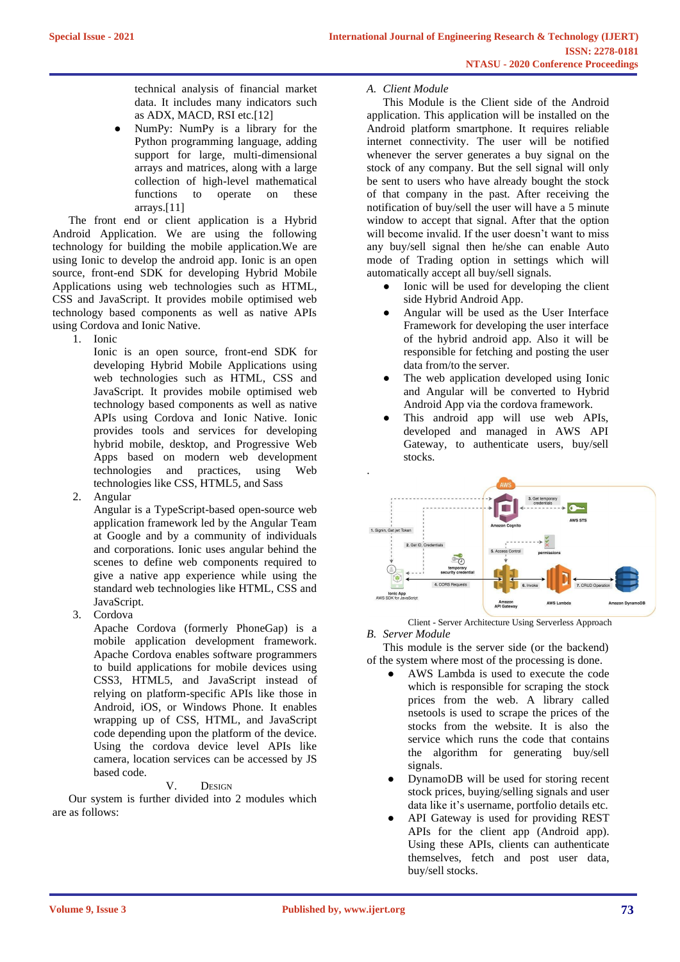technical analysis of financial market data. It includes many indicators such as ADX, MACD, RSI etc.[12]

NumPy: NumPy is a library for the Python programming language, adding support for large, multi-dimensional arrays and matrices, along with a large collection of high-level mathematical functions to operate on these arrays.[11]

The front end or client application is a Hybrid Android Application. We are using the following technology for building the mobile application.We are using Ionic to develop the android app. Ionic is an open source, front-end SDK for developing Hybrid Mobile Applications using web technologies such as HTML, CSS and JavaScript. It provides mobile optimised web technology based components as well as native APIs using Cordova and Ionic Native.

1. Ionic

Ionic is an open source, front-end SDK for developing Hybrid Mobile Applications using web technologies such as HTML, CSS and JavaScript. It provides mobile optimised web technology based components as well as native APIs using Cordova and Ionic Native. Ionic provides tools and services for developing hybrid mobile, desktop, and Progressive Web Apps based on modern web development technologies and practices, using Web technologies like CSS, HTML5, and Sass

2. Angular

Angular is a TypeScript-based open-source web application framework led by the Angular Team at Google and by a community of individuals and corporations. Ionic uses angular behind the scenes to define web components required to give a native app experience while using the standard web technologies like HTML, CSS and JavaScript.

3. Cordova

Apache Cordova (formerly PhoneGap) is a mobile application development framework. Apache Cordova enables software programmers to build applications for mobile devices using CSS3, HTML5, and JavaScript instead of relying on platform-specific APIs like those in Android, iOS, or Windows Phone. It enables wrapping up of CSS, HTML, and JavaScript code depending upon the platform of the device. Using the cordova device level APIs like camera, location services can be accessed by JS based code.

# V. DESIGN

Our system is further divided into 2 modules which are as follows:

# *A. Client Module*

This Module is the Client side of the Android application. This application will be installed on the Android platform smartphone. It requires reliable internet connectivity. The user will be notified whenever the server generates a buy signal on the stock of any company. But the sell signal will only be sent to users who have already bought the stock of that company in the past. After receiving the notification of buy/sell the user will have a 5 minute window to accept that signal. After that the option will become invalid. If the user doesn't want to miss any buy/sell signal then he/she can enable Auto mode of Trading option in settings which will automatically accept all buy/sell signals.

- Ionic will be used for developing the client side Hybrid Android App.
- Angular will be used as the User Interface Framework for developing the user interface of the hybrid android app. Also it will be responsible for fetching and posting the user data from/to the server.
- The web application developed using Ionic and Angular will be converted to Hybrid Android App via the cordova framework.
- This android app will use web APIs, developed and managed in AWS API Gateway, to authenticate users, buy/sell stocks.



Client - Server Architecture Using Serverless Approach *B. Server Module*

This module is the server side (or the backend) of the system where most of the processing is done.

- AWS Lambda is used to execute the code which is responsible for scraping the stock prices from the web. A library called nsetools is used to scrape the prices of the stocks from the website. It is also the service which runs the code that contains the algorithm for generating buy/sell signals.
- DynamoDB will be used for storing recent stock prices, buying/selling signals and user data like it's username, portfolio details etc.
- API Gateway is used for providing REST APIs for the client app (Android app). Using these APIs, clients can authenticate themselves, fetch and post user data, buy/sell stocks.